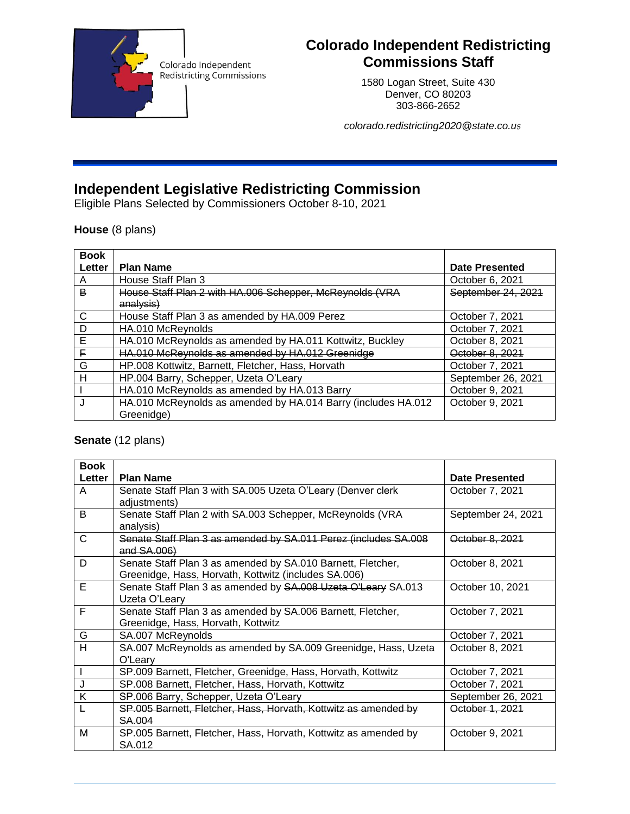

## **Colorado Independent Redistricting Commissions Staff**

1580 Logan Street, Suite 430 Denver, CO 80203 303-866-2652

*colorado.redistricting2020@state.co.us*

## **Independent Legislative Redistricting Commission**

Eligible Plans Selected by Commissioners October 8-10, 2021

## **House** (8 plans)

| <b>Book</b> |                                                               |                       |
|-------------|---------------------------------------------------------------|-----------------------|
| Letter      | <b>Plan Name</b>                                              | <b>Date Presented</b> |
| A           | House Staff Plan 3                                            | October 6, 2021       |
| B           | House Staff Plan 2 with HA.006 Schepper, McReynolds (VRA      | September 24, 2021    |
|             | analysis)                                                     |                       |
| C           | House Staff Plan 3 as amended by HA.009 Perez                 | October 7, 2021       |
| D           | HA.010 McReynolds                                             | October 7, 2021       |
| Е           | HA.010 McReynolds as amended by HA.011 Kottwitz, Buckley      | October 8, 2021       |
| F.          | HA.010 McReynolds as amended by HA.012 Greenidge              | October 8, 2021       |
| G           | HP.008 Kottwitz, Barnett, Fletcher, Hass, Horvath             | October 7, 2021       |
| н           | HP.004 Barry, Schepper, Uzeta O'Leary                         | September 26, 2021    |
|             | HA.010 McReynolds as amended by HA.013 Barry                  | October 9, 2021       |
|             | HA.010 McReynolds as amended by HA.014 Barry (includes HA.012 | October 9, 2021       |
|             | Greenidge)                                                    |                       |

## **Senate** (12 plans)

| <b>Book</b> |                                                                 |                    |
|-------------|-----------------------------------------------------------------|--------------------|
| Letter      | <b>Plan Name</b>                                                | Date Presented     |
| A           | Senate Staff Plan 3 with SA.005 Uzeta O'Leary (Denver clerk     | October 7, 2021    |
|             | adjustments)                                                    |                    |
| B           | Senate Staff Plan 2 with SA.003 Schepper, McReynolds (VRA       | September 24, 2021 |
|             | analysis)                                                       |                    |
| C           | Senate Staff Plan 3 as amended by SA.011 Perez (includes SA.008 | October 8, 2021    |
|             | and $SA.006$ )                                                  |                    |
| D           | Senate Staff Plan 3 as amended by SA.010 Barnett, Fletcher,     | October 8, 2021    |
|             | Greenidge, Hass, Horvath, Kottwitz (includes SA.006)            |                    |
| E           | Senate Staff Plan 3 as amended by SA.008 Uzeta O'Leary SA.013   | October 10, 2021   |
|             | Uzeta O'Leary                                                   |                    |
| F           | Senate Staff Plan 3 as amended by SA.006 Barnett, Fletcher,     | October 7, 2021    |
|             | Greenidge, Hass, Horvath, Kottwitz                              |                    |
| G           | SA.007 McReynolds                                               | October 7, 2021    |
| H           | SA.007 McReynolds as amended by SA.009 Greenidge, Hass, Uzeta   | October 8, 2021    |
|             | O'Leary                                                         |                    |
|             | SP.009 Barnett, Fletcher, Greenidge, Hass, Horvath, Kottwitz    | October 7, 2021    |
| J           | SP.008 Barnett, Fletcher, Hass, Horvath, Kottwitz               | October 7, 2021    |
| Κ           | SP.006 Barry, Schepper, Uzeta O'Leary                           | September 26, 2021 |
| Ł           | SP.005 Barnett, Fletcher, Hass, Horvath, Kottwitz as amended by | October 1, 2021    |
|             | <b>SA.004</b>                                                   |                    |
| M           | SP.005 Barnett, Fletcher, Hass, Horvath, Kottwitz as amended by | October 9, 2021    |
|             | SA.012                                                          |                    |